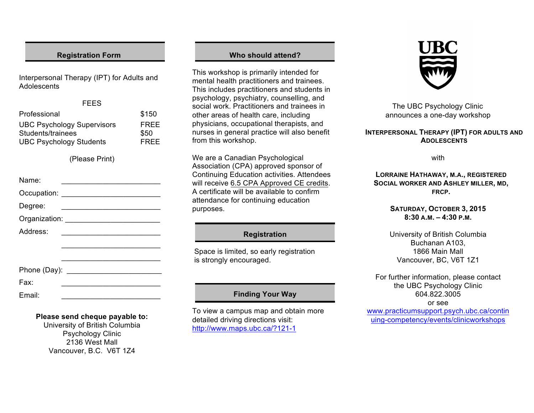### **Registration Form**

Interpersonal Therapy (IPT) for Adults and Adolescents

#### FEES

| Professional                      | \$150       |
|-----------------------------------|-------------|
| <b>UBC Psychology Supervisors</b> | <b>FREE</b> |
| Students/trainees                 | \$50        |
| <b>UBC Psychology Students</b>    | <b>FREE</b> |

(Please Print)

| Name:    |                                          |
|----------|------------------------------------------|
|          |                                          |
| Degree:  | <u> 1989 - Johann Barbara, martxa al</u> |
|          |                                          |
| Address: |                                          |
|          |                                          |
|          |                                          |
|          |                                          |
| Fax:     |                                          |
| Email:   |                                          |

### **Please send cheque payable to:**

University of British Columbia Psychology Clinic 2136 West Mall Vancouver, B.C. V6T 1Z4

### **Who should attend?**

This workshop is primarily intended for mental health practitioners and trainees. This includes practitioners and students in psychology, psychiatry, counselling, and social work. Practitioners and trainees in other areas of health care, including physicians, occupational therapists, and nurses in general practice will also benefit from this workshop.

We are a Canadian Psychological Association (CPA) approved sponsor of Continuing Education activities. Attendees will receive 6.5 CPA Approved CE credits. A certificate will be available to confirm attendance for continuing education purposes.

### **Registration**

Space is limited, so early registration is strongly encouraged.

# **Finding Your Way**

To view a campus map and obtain more detailed driving directions visit: http://www.maps.ubc.ca/?121-1



The UBC Psychology Clinic announces a one-day workshop

### **INTERPERSONAL THERAPY (IPT) FOR ADULTS AND ADOLESCENTS**

with

**LORRAINE HATHAWAY, M.A., REGISTERED SOCIAL WORKER AND ASHLEY MILLER, MD, FRCP.**

### **SATURDAY, OCTOBER 3, 2015 8:30 A.M. – 4:30 P.M.**

University of British Columbia Buchanan A103, 1866 Main Mall Vancouver, BC, V6T 1Z1

For further information, please contact the UBC Psychology Clinic 604.822.3005 or see

www.practicumsupport.psych.ubc.ca/contin uing-competency/events/clinicworkshops